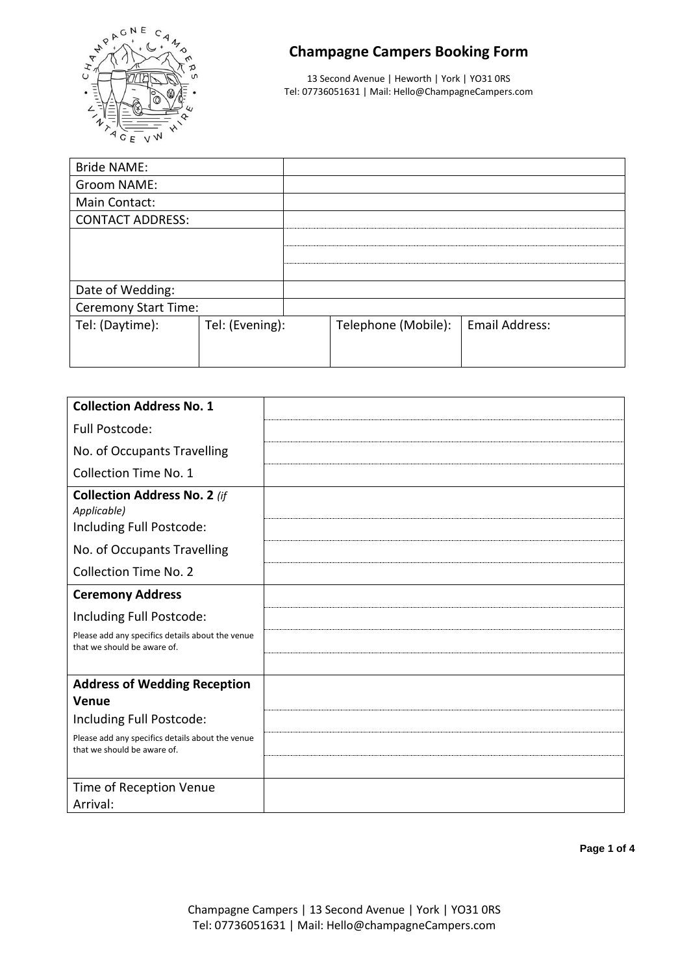

# **Champagne Campers Booking Form**

13 Second Avenue | Heworth | York | YO31 0RS Tel: 07736051631 | Mail: Hello@ChampagneCampers.com

| <b>Bride NAME:</b>      |                 |  |                     |                       |
|-------------------------|-----------------|--|---------------------|-----------------------|
| Groom NAME:             |                 |  |                     |                       |
| Main Contact:           |                 |  |                     |                       |
| <b>CONTACT ADDRESS:</b> |                 |  |                     |                       |
|                         |                 |  |                     |                       |
|                         |                 |  |                     |                       |
|                         |                 |  |                     |                       |
| Date of Wedding:        |                 |  |                     |                       |
| Ceremony Start Time:    |                 |  |                     |                       |
| Tel: (Daytime):         | Tel: (Evening): |  | Telephone (Mobile): | <b>Email Address:</b> |
|                         |                 |  |                     |                       |
|                         |                 |  |                     |                       |

| <b>Collection Address No. 1</b>                                                 |  |
|---------------------------------------------------------------------------------|--|
| Full Postcode:                                                                  |  |
| No. of Occupants Travelling                                                     |  |
| <b>Collection Time No. 1</b>                                                    |  |
| <b>Collection Address No. 2 (if</b><br>Applicable)<br>Including Full Postcode:  |  |
| No. of Occupants Travelling                                                     |  |
| <b>Collection Time No. 2</b>                                                    |  |
| <b>Ceremony Address</b>                                                         |  |
| Including Full Postcode:                                                        |  |
| Please add any specifics details about the venue<br>that we should be aware of. |  |
|                                                                                 |  |
| <b>Address of Wedding Reception</b>                                             |  |
| Venue                                                                           |  |
| Including Full Postcode:                                                        |  |
| Please add any specifics details about the venue<br>that we should be aware of. |  |
|                                                                                 |  |
| Time of Reception Venue                                                         |  |
| Arrival:                                                                        |  |

**Page 1 of 4**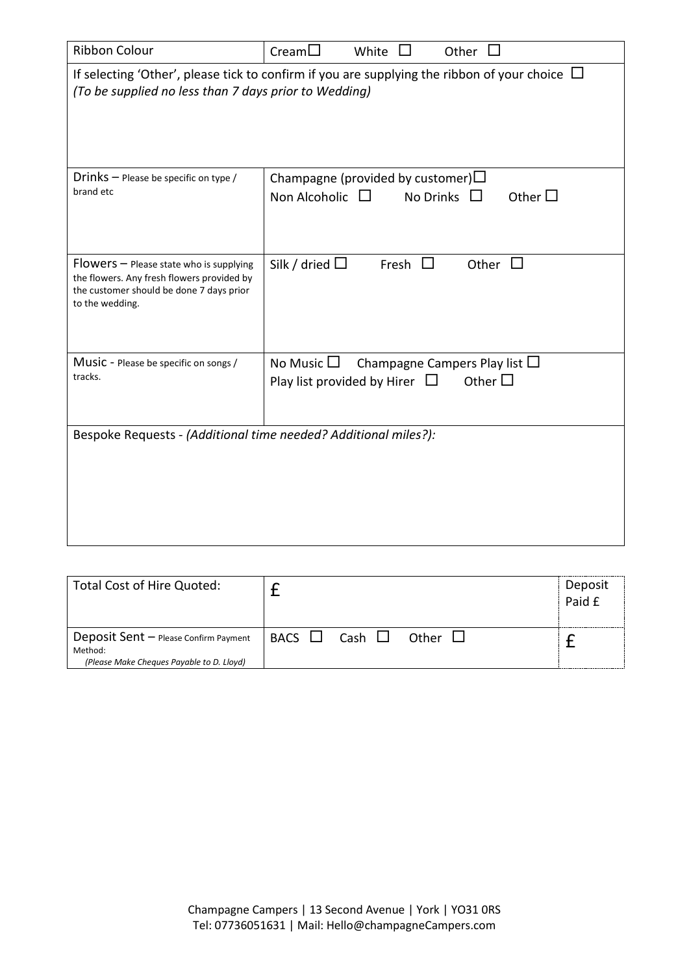| <b>Ribbon Colour</b>                                                                                                                                        | $C$ ream $\Box$<br>White<br>Other                                                                                 |  |  |  |  |  |  |  |
|-------------------------------------------------------------------------------------------------------------------------------------------------------------|-------------------------------------------------------------------------------------------------------------------|--|--|--|--|--|--|--|
| If selecting 'Other', please tick to confirm if you are supplying the ribbon of your choice $\Box$<br>(To be supplied no less than 7 days prior to Wedding) |                                                                                                                   |  |  |  |  |  |  |  |
| Drinks $-$ Please be specific on type /<br>brand etc                                                                                                        | Champagne (provided by customer) $\Box$<br>Other $\square$<br>Non Alcoholic $\Box$<br>No Drinks $\Box$            |  |  |  |  |  |  |  |
| $Flowers$ – Please state who is supplying<br>the flowers. Any fresh flowers provided by<br>the customer should be done 7 days prior<br>to the wedding.      | Silk / dried $\Box$<br>Fresh $\Box$<br>Other $\Box$                                                               |  |  |  |  |  |  |  |
| Music - Please be specific on songs /<br>tracks.                                                                                                            | Champagne Campers Play list $\Box$<br>No Music $\square$<br>Play list provided by Hirer $\Box$<br>Other $\square$ |  |  |  |  |  |  |  |
| Bespoke Requests - (Additional time needed? Additional miles?):                                                                                             |                                                                                                                   |  |  |  |  |  |  |  |

| Total Cost of Hire Quoted:                                                                    |             |             |       |  | Deposit<br>Paid £ |
|-----------------------------------------------------------------------------------------------|-------------|-------------|-------|--|-------------------|
| Deposit Sent - Please Confirm Payment<br>Method:<br>(Please Make Cheques Payable to D. Lloyd) | <b>BACS</b> | Cash $\Box$ | Other |  |                   |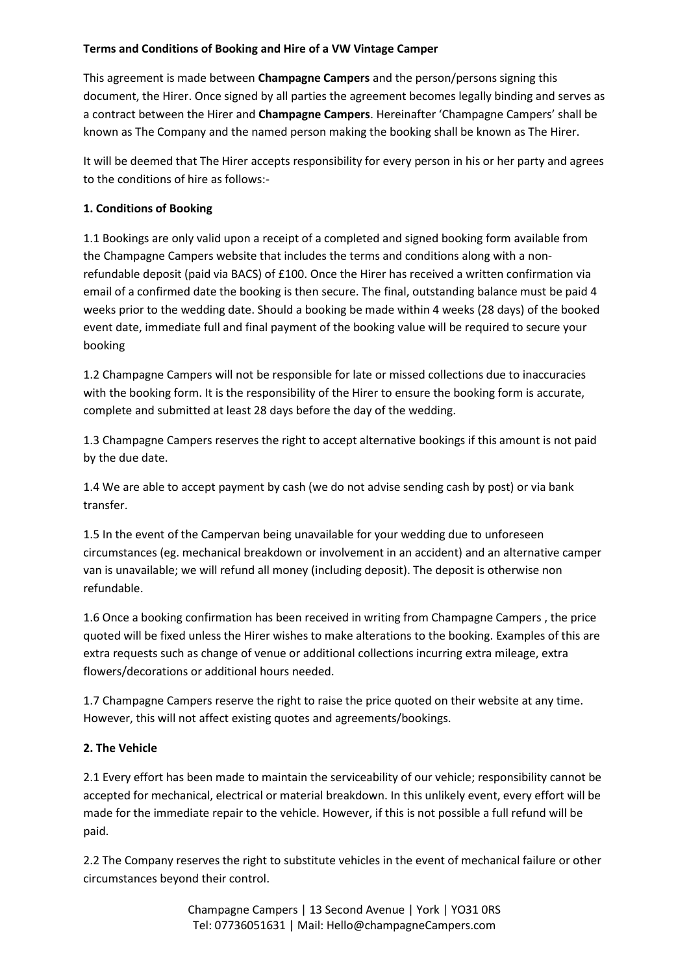#### **Terms and Conditions of Booking and Hire of a VW Vintage Camper**

This agreement is made between **Champagne Campers** and the person/persons signing this document, the Hirer. Once signed by all parties the agreement becomes legally binding and serves as a contract between the Hirer and **Champagne Campers**. Hereinafter 'Champagne Campers' shall be known as The Company and the named person making the booking shall be known as The Hirer.

It will be deemed that The Hirer accepts responsibility for every person in his or her party and agrees to the conditions of hire as follows:-

#### **1. Conditions of Booking**

1.1 Bookings are only valid upon a receipt of a completed and signed booking form available from the Champagne Campers website that includes the terms and conditions along with a nonrefundable deposit (paid via BACS) of £100. Once the Hirer has received a written confirmation via email of a confirmed date the booking is then secure. The final, outstanding balance must be paid 4 weeks prior to the wedding date. Should a booking be made within 4 weeks (28 days) of the booked event date, immediate full and final payment of the booking value will be required to secure your booking

1.2 Champagne Campers will not be responsible for late or missed collections due to inaccuracies with the booking form. It is the responsibility of the Hirer to ensure the booking form is accurate, complete and submitted at least 28 days before the day of the wedding.

1.3 Champagne Campers reserves the right to accept alternative bookings if this amount is not paid by the due date.

1.4 We are able to accept payment by cash (we do not advise sending cash by post) or via bank transfer.

1.5 In the event of the Campervan being unavailable for your wedding due to unforeseen circumstances (eg. mechanical breakdown or involvement in an accident) and an alternative camper van is unavailable; we will refund all money (including deposit). The deposit is otherwise non refundable.

1.6 Once a booking confirmation has been received in writing from Champagne Campers , the price quoted will be fixed unless the Hirer wishes to make alterations to the booking. Examples of this are extra requests such as change of venue or additional collections incurring extra mileage, extra flowers/decorations or additional hours needed.

1.7 Champagne Campers reserve the right to raise the price quoted on their website at any time. However, this will not affect existing quotes and agreements/bookings.

### **2. The Vehicle**

2.1 Every effort has been made to maintain the serviceability of our vehicle; responsibility cannot be accepted for mechanical, electrical or material breakdown. In this unlikely event, every effort will be made for the immediate repair to the vehicle. However, if this is not possible a full refund will be paid.

2.2 The Company reserves the right to substitute vehicles in the event of mechanical failure or other circumstances beyond their control.

> Champagne Campers | 13 Second Avenue | York | YO31 0RS Tel: 07736051631 | Mail: Hello@champagneCampers.com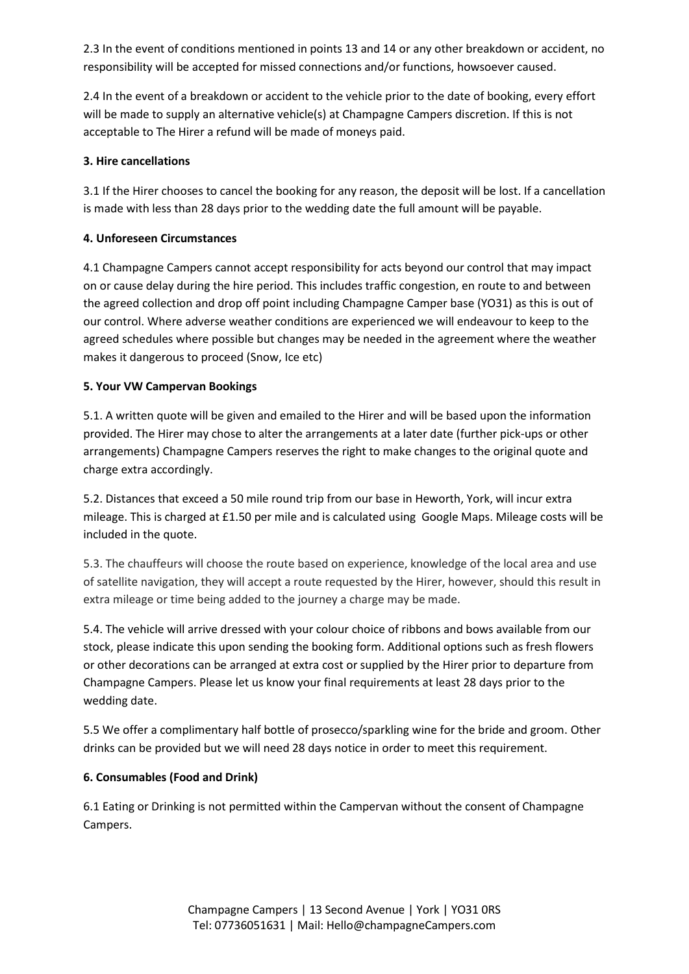2.3 In the event of conditions mentioned in points 13 and 14 or any other breakdown or accident, no responsibility will be accepted for missed connections and/or functions, howsoever caused.

2.4 In the event of a breakdown or accident to the vehicle prior to the date of booking, every effort will be made to supply an alternative vehicle(s) at Champagne Campers discretion. If this is not acceptable to The Hirer a refund will be made of moneys paid.

## **3. Hire cancellations**

3.1 If the Hirer chooses to cancel the booking for any reason, the deposit will be lost. If a cancellation is made with less than 28 days prior to the wedding date the full amount will be payable.

## **4. Unforeseen Circumstances**

4.1 Champagne Campers cannot accept responsibility for acts beyond our control that may impact on or cause delay during the hire period. This includes traffic congestion, en route to and between the agreed collection and drop off point including Champagne Camper base (YO31) as this is out of our control. Where adverse weather conditions are experienced we will endeavour to keep to the agreed schedules where possible but changes may be needed in the agreement where the weather makes it dangerous to proceed (Snow, Ice etc)

## **5. Your VW Campervan Bookings**

5.1. A written quote will be given and emailed to the Hirer and will be based upon the information provided. The Hirer may chose to alter the arrangements at a later date (further pick-ups or other arrangements) Champagne Campers reserves the right to make changes to the original quote and charge extra accordingly.

5.2. Distances that exceed a 50 mile round trip from our base in Heworth, York, will incur extra mileage. This is charged at £1.50 per mile and is calculated using Google Maps. Mileage costs will be included in the quote.

5.3. The chauffeurs will choose the route based on experience, knowledge of the local area and use of satellite navigation, they will accept a route requested by the Hirer, however, should this result in extra mileage or time being added to the journey a charge may be made.

5.4. The vehicle will arrive dressed with your colour choice of ribbons and bows available from our stock, please indicate this upon sending the booking form. Additional options such as fresh flowers or other decorations can be arranged at extra cost or supplied by the Hirer prior to departure from Champagne Campers. Please let us know your final requirements at least 28 days prior to the wedding date.

5.5 We offer a complimentary half bottle of prosecco/sparkling wine for the bride and groom. Other drinks can be provided but we will need 28 days notice in order to meet this requirement.

# **6. Consumables (Food and Drink)**

6.1 Eating or Drinking is not permitted within the Campervan without the consent of Champagne Campers.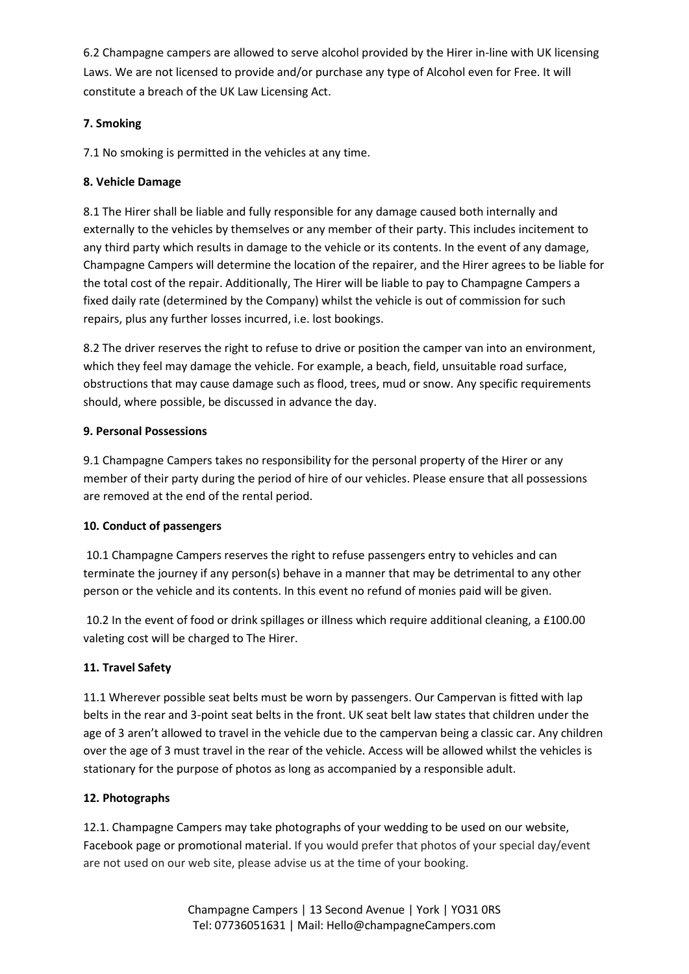6.2 Champagne campers are allowed to serve alcohol provided by the Hirer in-line with UK licensing Laws. We are not licensed to provide and/or purchase any type of Alcohol even for Free. It will constitute a breach of the UK Law Licensing Act.

## **7. Smoking**

7.1 No smoking is permitted in the vehicles at any time.

## **8. Vehicle Damage**

8.1 The Hirer shall be liable and fully responsible for any damage caused both internally and externally to the vehicles by themselves or any member of their party. This includes incitement to any third party which results in damage to the vehicle or its contents. In the event of any damage, Champagne Campers will determine the location of the repairer, and the Hirer agrees to be liable for the total cost of the repair. Additionally, The Hirer will be liable to pay to Champagne Campers a fixed daily rate (determined by the Company) whilst the vehicle is out of commission for such repairs, plus any further losses incurred, i.e. lost bookings.

8.2 The driver reserves the right to refuse to drive or position the camper van into an environment, which they feel may damage the vehicle. For example, a beach, field, unsuitable road surface, obstructions that may cause damage such as flood, trees, mud or snow. Any specific requirements should, where possible, be discussed in advance the day.

## **9. Personal Possessions**

9.1 Champagne Campers takes no responsibility for the personal property of the Hirer or any member of their party during the period of hire of our vehicles. Please ensure that all possessions are removed at the end of the rental period.

### **10. Conduct of passengers**

10.1 Champagne Campers reserves the right to refuse passengers entry to vehicles and can terminate the journey if any person(s) behave in a manner that may be detrimental to any other person or the vehicle and its contents. In this event no refund of monies paid will be given.

10.2 In the event of food or drink spillages or illness which require additional cleaning, a £100.00 valeting cost will be charged to The Hirer.

# **11. Travel Safety**

11.1 Wherever possible seat belts must be worn by passengers. Our Campervan is fitted with lap belts in the rear and 3-point seat belts in the front. UK seat belt law states that children under the age of 3 aren't allowed to travel in the vehicle due to the campervan being a classic car. Any children over the age of 3 must travel in the rear of the vehicle. Access will be allowed whilst the vehicles is stationary for the purpose of photos as long as accompanied by a responsible adult.

### **12. Photographs**

12.1. Champagne Campers may take photographs of your wedding to be used on our website, Facebook page or promotional material. If you would prefer that photos of your special day/event are not used on our web site, please advise us at the time of your booking.